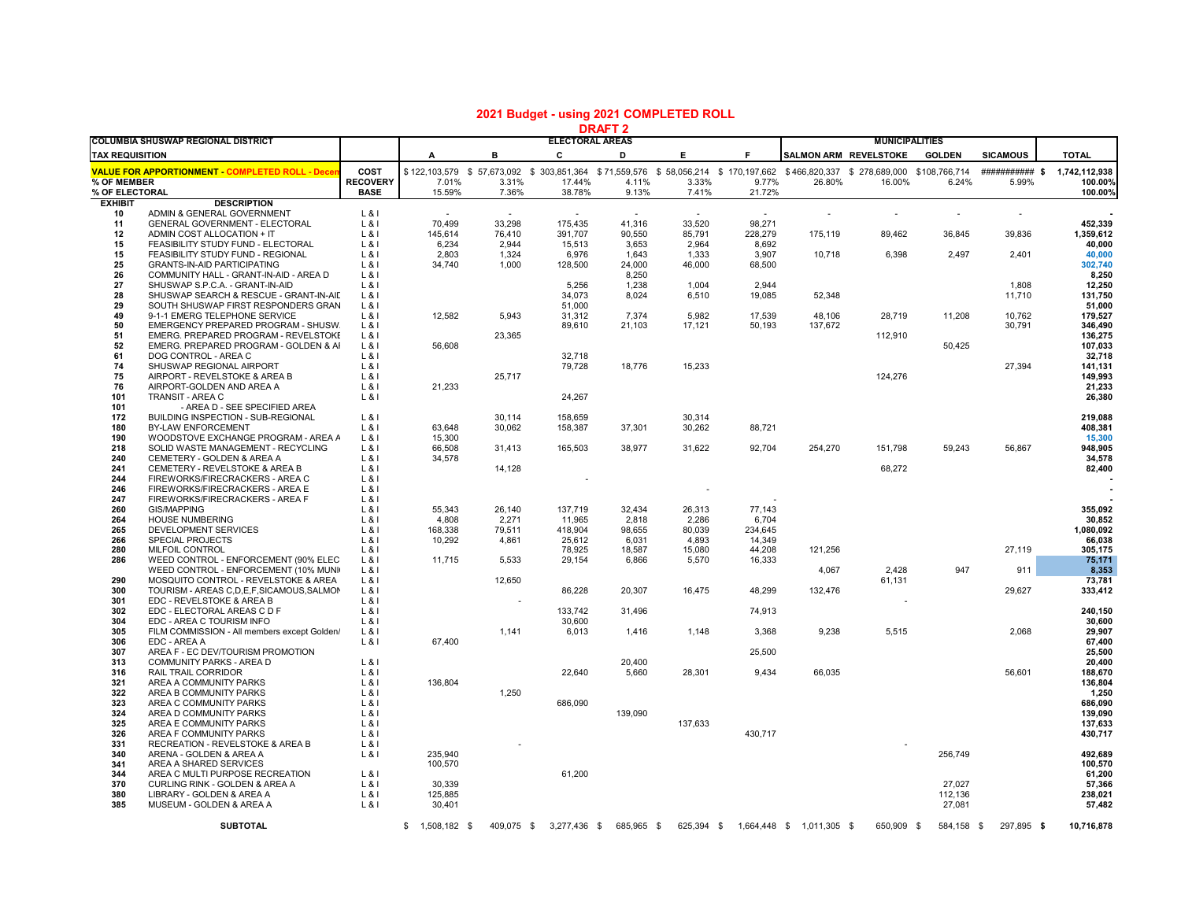| <b>COLUMBIA SHUSWAP REGIONAL DISTRICT</b>                            |                                                                               |                         | URAFI4<br><b>ELECTORAL AREAS</b> |                 |                         |                 |                 |                  |                           | <b>MUNICIPALITIES</b>                                                                                                                |                   |                          |                          |  |
|----------------------------------------------------------------------|-------------------------------------------------------------------------------|-------------------------|----------------------------------|-----------------|-------------------------|-----------------|-----------------|------------------|---------------------------|--------------------------------------------------------------------------------------------------------------------------------------|-------------------|--------------------------|--------------------------|--|
| <b>TAX REQUISITION</b>                                               |                                                                               |                         | А                                | в               | C                       | D               | E               | F.               | SALMON ARM REVELSTOKE     |                                                                                                                                      | <b>GOLDEN</b>     | <b>SICAMOUS</b>          | <b>TOTAL</b>             |  |
|                                                                      |                                                                               |                         |                                  |                 |                         |                 |                 |                  |                           |                                                                                                                                      |                   |                          |                          |  |
| <b>VALUE FOR APPORTIONMENT COMPLETED ROLL - Decer</b><br>% OF MEMBER |                                                                               | COST<br><b>RECOVERY</b> | 7.01%                            | 3.31%           | 17.44%                  | 4.11%           | 3.33%           | 9.77%            | 26.80%                    | \$122,103,579 \$57,673,092 \$303,851,364 \$71,559,576 \$58,056,214 \$170,197,662 \$466,820,337 \$278,689,000 \$108,766,714<br>16.00% | 6.24%             | ############<br>5.99%    | 1,742,112,938<br>100.00% |  |
| % OF ELECTORAL                                                       |                                                                               | <b>BASE</b>             | 15.59%                           | 7.36%           | 38.78%                  | 9.13%           | 7.41%           | 21.72%           |                           |                                                                                                                                      |                   |                          | 100.00%                  |  |
| <b>EXHIBIT</b>                                                       | <b>DESCRIPTION</b>                                                            |                         |                                  |                 |                         |                 |                 |                  |                           |                                                                                                                                      |                   |                          |                          |  |
| 10                                                                   | ADMIN & GENERAL GOVERNMENT                                                    | $L$ &I                  |                                  | $\sim$          | $\sim$                  | $\sim$          | $\sim$          | $\sim$           |                           | $\overline{\phantom{a}}$                                                                                                             | $\sim$            | $\overline{\phantom{a}}$ |                          |  |
| 11                                                                   | GENERAL GOVERNMENT - ELECTORAL                                                | $L$ &l                  | 70,499                           | 33,298          | 175,435                 | 41,316          | 33,520          | 98,271           |                           |                                                                                                                                      |                   |                          | 452,339                  |  |
| 12                                                                   | ADMIN COST ALLOCATION + IT                                                    | $L_8$                   | 145,614                          | 76,410          | 391,707                 | 90,550          | 85,791          | 228,279          | 175,119                   | 89,462                                                                                                                               | 36,845            | 39,836                   | 1,359,612                |  |
| 15<br>15                                                             | FEASIBILITY STUDY FUND - ELECTORAL<br>FEASIBILITY STUDY FUND - REGIONAL       | $L$ & I                 | 6,234<br>2,803                   | 2,944<br>1,324  | 15,513                  | 3,653           | 2,964<br>1,333  | 8,692<br>3,907   | 10,718                    | 6,398                                                                                                                                | 2,497             | 2,401                    | 40,000                   |  |
| 25                                                                   | <b>GRANTS-IN-AID PARTICIPATING</b>                                            | $L$ &l<br>$L$ &l        | 34,740                           | 1,000           | 6,976<br>128,500        | 1,643<br>24,000 | 46,000          | 68,500           |                           |                                                                                                                                      |                   |                          | 40,000<br>302,740        |  |
| 26                                                                   | COMMUNITY HALL - GRANT-IN-AID - AREA D                                        | $L$ & I                 |                                  |                 |                         | 8,250           |                 |                  |                           |                                                                                                                                      |                   |                          | 8,250                    |  |
| 27                                                                   | SHUSWAP S.P.C.A. - GRANT-IN-AID                                               | $L$ &l                  |                                  |                 | 5,256                   | 1,238           | 1,004           | 2,944            |                           |                                                                                                                                      |                   | 1,808                    | 12,250                   |  |
| 28                                                                   | SHUSWAP SEARCH & RESCUE - GRANT-IN-AID                                        | $L$ & I                 |                                  |                 | 34.073                  | 8,024           | 6,510           | 19.085           | 52,348                    |                                                                                                                                      |                   | 11,710                   | 131,750                  |  |
| 29                                                                   | SOUTH SHUSWAP FIRST RESPONDERS GRAN                                           | $L$ &l                  |                                  |                 | 51,000                  |                 |                 |                  |                           |                                                                                                                                      |                   |                          | 51,000                   |  |
| 49                                                                   | 9-1-1 EMERG TELEPHONE SERVICE                                                 | $L$ &l                  | 12,582                           | 5,943           | 31,312                  | 7,374           | 5,982           | 17,539           | 48,106                    | 28,719                                                                                                                               | 11,208            | 10,762                   | 179,527                  |  |
| 50                                                                   | EMERGENCY PREPARED PROGRAM - SHUSW.                                           | L & I                   |                                  |                 | 89,610                  | 21,103          | 17,121          | 50,193           | 137,672                   |                                                                                                                                      |                   | 30,791                   | 346,490                  |  |
| 51<br>52                                                             | EMERG. PREPARED PROGRAM - REVELSTOKE<br>EMERG. PREPARED PROGRAM - GOLDEN & AI | $L$ & I<br>$L$ & I      | 56,608                           | 23,365          |                         |                 |                 |                  |                           | 112,910                                                                                                                              |                   |                          | 136,275<br>107,033       |  |
| 61                                                                   | DOG CONTROL - AREA C                                                          | $L$ &l                  |                                  |                 | 32,718                  |                 |                 |                  |                           |                                                                                                                                      | 50,425            |                          | 32,718                   |  |
| 74                                                                   | SHUSWAP REGIONAL AIRPORT                                                      | $L$ &l                  |                                  |                 | 79,728                  | 18,776          | 15,233          |                  |                           |                                                                                                                                      |                   | 27,394                   | 141,131                  |  |
| 75                                                                   | AIRPORT - REVELSTOKE & AREA B                                                 | $L$ &l                  |                                  | 25,717          |                         |                 |                 |                  |                           | 124,276                                                                                                                              |                   |                          | 149,993                  |  |
| 76                                                                   | AIRPORT-GOLDEN AND AREA A                                                     | $L$ &l                  | 21,233                           |                 |                         |                 |                 |                  |                           |                                                                                                                                      |                   |                          | 21,233                   |  |
| 101                                                                  | <b>TRANSIT - AREA C</b>                                                       | $L$ & I                 |                                  |                 | 24,267                  |                 |                 |                  |                           |                                                                                                                                      |                   |                          | 26,380                   |  |
| 101                                                                  | - AREA D - SEE SPECIFIED AREA                                                 |                         |                                  |                 |                         |                 |                 |                  |                           |                                                                                                                                      |                   |                          |                          |  |
| 172                                                                  | <b>BUILDING INSPECTION - SUB-REGIONAL</b>                                     | $L$ & I                 |                                  | 30.114          | 158.659                 |                 | 30.314          |                  |                           |                                                                                                                                      |                   |                          | 219,088                  |  |
| 180<br>190                                                           | BY-LAW ENFORCEMENT<br>WOODSTOVE EXCHANGE PROGRAM - AREA A                     | $L$ & I<br>$L$ & I      | 63.648<br>15,300                 | 30,062          | 158,387                 | 37,301          | 30,262          | 88,721           |                           |                                                                                                                                      |                   |                          | 408,381<br>15,300        |  |
| 218                                                                  | SOLID WASTE MANAGEMENT - RECYCLING                                            | $L$ &l                  | 66,508                           | 31,413          | 165,503                 | 38,977          | 31,622          | 92,704           | 254,270                   | 151,798                                                                                                                              | 59,243            | 56,867                   | 948,905                  |  |
| 240                                                                  | CEMETERY - GOLDEN & AREA A                                                    | $L$ & I                 | 34,578                           |                 |                         |                 |                 |                  |                           |                                                                                                                                      |                   |                          | 34,578                   |  |
| 241                                                                  | CEMETERY - REVELSTOKE & AREA B                                                | $L$ &l                  |                                  | 14,128          |                         |                 |                 |                  |                           | 68,272                                                                                                                               |                   |                          | 82,400                   |  |
| 244                                                                  | FIREWORKS/FIRECRACKERS - AREA C                                               | $L$ &l                  |                                  |                 |                         |                 |                 |                  |                           |                                                                                                                                      |                   |                          |                          |  |
| 246                                                                  | FIREWORKS/FIRECRACKERS - AREA E                                               | $L$ &I                  |                                  |                 |                         |                 |                 |                  |                           |                                                                                                                                      |                   |                          |                          |  |
| 247                                                                  | FIREWORKS/FIRECRACKERS - AREA F                                               | $L$ & I                 |                                  |                 |                         |                 |                 |                  |                           |                                                                                                                                      |                   |                          |                          |  |
| 260                                                                  | <b>GIS/MAPPING</b>                                                            | $L$ & I                 | 55.343                           | 26.140          | 137.719                 | 32,434          | 26,313          | 77,143           |                           |                                                                                                                                      |                   |                          | 355.092                  |  |
| 264<br>265                                                           | <b>HOUSE NUMBERING</b><br>DEVELOPMENT SERVICES                                | $L$ & I<br>$L$ & I      | 4,808<br>168,338                 | 2,271<br>79,511 | 11,965<br>418,904       | 2,818<br>98,655 | 2,286<br>80,039 | 6,704<br>234,645 |                           |                                                                                                                                      |                   |                          | 30,852<br>1,080,092      |  |
| 266                                                                  | <b>SPECIAL PROJECTS</b>                                                       | $L$ & I                 | 10,292                           | 4,861           | 25,612                  | 6,031           | 4,893           | 14.349           |                           |                                                                                                                                      |                   |                          | 66,038                   |  |
| 280                                                                  | MILFOIL CONTROL                                                               | $L$ & I                 |                                  |                 | 78,925                  | 18,587          | 15,080          | 44,208           | 121,256                   |                                                                                                                                      |                   | 27,119                   | 305,175                  |  |
| 286                                                                  | WEED CONTROL - ENFORCEMENT (90% ELEC                                          | $L$ &l                  | 11,715                           | 5,533           | 29,154                  | 6,866           | 5,570           | 16,333           |                           |                                                                                                                                      |                   |                          | 75,171                   |  |
|                                                                      | WEED CONTROL - ENFORCEMENT (10% MUNI)                                         | $L$ &l                  |                                  |                 |                         |                 |                 |                  | 4,067                     | 2,428                                                                                                                                | 947               | 911                      | 8,353                    |  |
| 290                                                                  | MOSQUITO CONTROL - REVELSTOKE & AREA                                          | $L$ &l                  |                                  | 12,650          |                         |                 |                 |                  |                           | 61,131                                                                                                                               |                   |                          | 73,781                   |  |
| 300                                                                  | TOURISM - AREAS C, D, E, F, SICAMOUS, SALMON                                  | $L$ &                   |                                  |                 | 86,228                  | 20,307          | 16,475          | 48,299           | 132,476                   |                                                                                                                                      |                   | 29,627                   | 333,412                  |  |
| 301                                                                  | EDC - REVELSTOKE & AREA B                                                     | $L$ & I                 |                                  |                 |                         |                 |                 |                  |                           |                                                                                                                                      |                   |                          |                          |  |
| 302<br>304                                                           | EDC - ELECTORAL AREAS C D F<br>EDC - AREA C TOURISM INFO                      | $L$ & I<br>$L$ & I      |                                  |                 | 133,742<br>30,600       | 31,496          |                 | 74,913           |                           |                                                                                                                                      |                   |                          | 240,150<br>30,600        |  |
| 305                                                                  | FILM COMMISSION - All members except Golden/                                  | $L$ & I                 |                                  | 1,141           | 6,013                   | 1,416           | 1,148           | 3,368            | 9,238                     | 5,515                                                                                                                                |                   | 2,068                    | 29.907                   |  |
| 306                                                                  | EDC - AREA A                                                                  | $L$ & I                 | 67,400                           |                 |                         |                 |                 |                  |                           |                                                                                                                                      |                   |                          | 67,400                   |  |
| 307                                                                  | AREA F - EC DEV/TOURISM PROMOTION                                             |                         |                                  |                 |                         |                 |                 | 25,500           |                           |                                                                                                                                      |                   |                          | 25,500                   |  |
| 313                                                                  | COMMUNITY PARKS - AREA D                                                      | $L$ &I                  |                                  |                 |                         | 20,400          |                 |                  |                           |                                                                                                                                      |                   |                          | 20,400                   |  |
| 316                                                                  | RAIL TRAIL CORRIDOR                                                           | L &                     |                                  |                 | 22,640                  | 5,660           | 28,301          | 9,434            | 66,035                    |                                                                                                                                      |                   | 56,601                   | 188,670                  |  |
| 321                                                                  | AREA A COMMUNITY PARKS                                                        | $L$ &l                  | 136,804                          |                 |                         |                 |                 |                  |                           |                                                                                                                                      |                   |                          | 136,804                  |  |
| 322<br>323                                                           | AREA B COMMUNITY PARKS<br>AREA C COMMUNITY PARKS                              | $L$ & I<br>$L$ &        |                                  | 1,250           | 686,090                 |                 |                 |                  |                           |                                                                                                                                      |                   |                          | 1,250<br>686,090         |  |
| 324                                                                  | AREA D COMMUNITY PARKS                                                        | $L_8$                   |                                  |                 |                         | 139,090         |                 |                  |                           |                                                                                                                                      |                   |                          | 139,090                  |  |
| 325                                                                  | AREA E COMMUNITY PARKS                                                        | $L$ & I                 |                                  |                 |                         |                 | 137.633         |                  |                           |                                                                                                                                      |                   |                          | 137,633                  |  |
| 326                                                                  | AREA F COMMUNITY PARKS                                                        | $L$ &l                  |                                  |                 |                         |                 |                 | 430,717          |                           |                                                                                                                                      |                   |                          | 430,717                  |  |
| 331                                                                  | RECREATION - REVELSTOKE & AREA B                                              | $L$ &l                  |                                  |                 |                         |                 |                 |                  |                           |                                                                                                                                      |                   |                          |                          |  |
| 340                                                                  | ARENA - GOLDEN & AREA A                                                       | $L$ &l                  | 235,940                          |                 |                         |                 |                 |                  |                           |                                                                                                                                      | 256,749           |                          | 492,689                  |  |
| 341                                                                  | AREA A SHARED SERVICES                                                        |                         | 100,570                          |                 |                         |                 |                 |                  |                           |                                                                                                                                      |                   |                          | 100,570                  |  |
| 344                                                                  | AREA C MULTI PURPOSE RECREATION                                               | $L$ &I                  |                                  |                 | 61,200                  |                 |                 |                  |                           |                                                                                                                                      |                   |                          | 61,200                   |  |
| 370<br>380                                                           | CURLING RINK - GOLDEN & AREA A                                                | $L$ & I                 | 30.339                           |                 |                         |                 |                 |                  |                           |                                                                                                                                      | 27.027            |                          | 57,366                   |  |
| 385                                                                  | LIBRARY - GOLDEN & AREA A<br>MUSEUM - GOLDEN & AREA A                         | $L$ &l<br>$L_8$         | 125,885<br>30,401                |                 |                         |                 |                 |                  |                           |                                                                                                                                      | 112,136<br>27,081 |                          | 238,021<br>57,482        |  |
|                                                                      |                                                                               |                         |                                  |                 |                         |                 |                 |                  |                           |                                                                                                                                      |                   |                          |                          |  |
|                                                                      | <b>SUBTOTAL</b>                                                               |                         | $$1,508,182$ \$                  |                 | 409,075 \$ 3,277,436 \$ | 685,965 \$      | 625,394 \$      |                  | 1,664,448 \$ 1,011,305 \$ | 650,909 \$                                                                                                                           | 584,158 \$        | 297,895 \$               | 10,716,878               |  |

## **2021 Budget - using 2021 COMPLETED ROLL**

**DRAFT 2**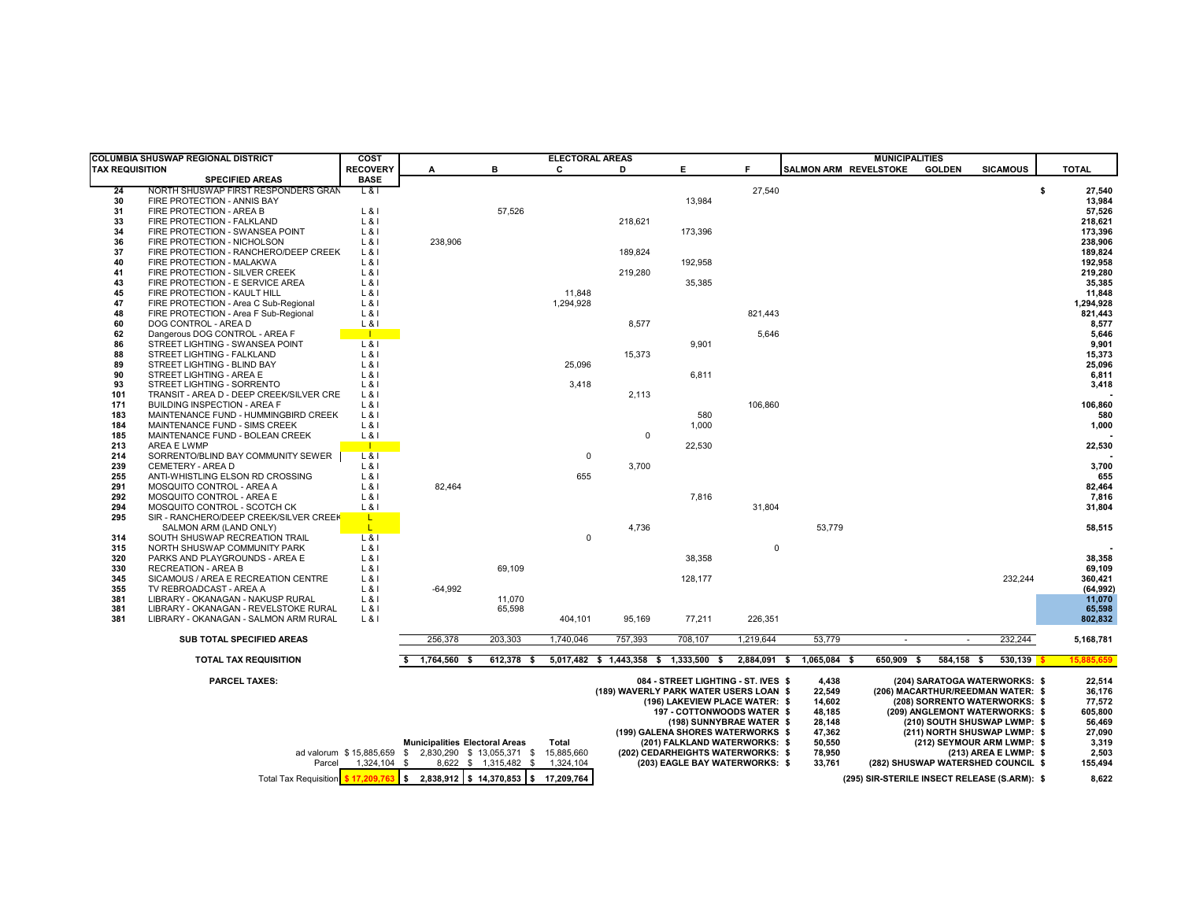| COLUMBIA SHUSWAP REGIONAL DISTRICT                                                                                         |                                                         | COST              |                                       |            | <b>ELECTORAL AREAS</b> |                                        |                                                                                                                                                                           |                          |                                                                   | <b>MUNICIPALITIES</b> |               |                                                                                                                                                                                                                                     |                                                                    |
|----------------------------------------------------------------------------------------------------------------------------|---------------------------------------------------------|-------------------|---------------------------------------|------------|------------------------|----------------------------------------|---------------------------------------------------------------------------------------------------------------------------------------------------------------------------|--------------------------|-------------------------------------------------------------------|-----------------------|---------------|-------------------------------------------------------------------------------------------------------------------------------------------------------------------------------------------------------------------------------------|--------------------------------------------------------------------|
| <b>TAX REQUISITION</b>                                                                                                     |                                                         | <b>RECOVERY</b>   | A                                     | в          | C                      | D                                      | E.                                                                                                                                                                        | Е                        | SALMON ARM REVELSTOKE                                             |                       | <b>GOLDEN</b> | <b>SICAMOUS</b>                                                                                                                                                                                                                     | <b>TOTAL</b>                                                       |
|                                                                                                                            | <b>SPECIFIED AREAS</b>                                  | <b>BASE</b>       |                                       |            |                        |                                        |                                                                                                                                                                           |                          |                                                                   |                       |               |                                                                                                                                                                                                                                     |                                                                    |
| 24                                                                                                                         | NORTH SHUSWAP FIRST RESPONDERS GRAN                     | $L$ &I            |                                       |            |                        |                                        |                                                                                                                                                                           | 27,540                   |                                                                   |                       |               |                                                                                                                                                                                                                                     | \$<br>27,540                                                       |
| 30                                                                                                                         | FIRE PROTECTION - ANNIS BAY                             |                   |                                       |            |                        |                                        | 13,984                                                                                                                                                                    |                          |                                                                   |                       |               |                                                                                                                                                                                                                                     | 13,984                                                             |
| 31                                                                                                                         | FIRE PROTECTION - AREA B                                | $L$ & I           |                                       | 57,526     |                        |                                        |                                                                                                                                                                           |                          |                                                                   |                       |               |                                                                                                                                                                                                                                     | 57,526                                                             |
| 33                                                                                                                         | FIRE PROTECTION - FALKLAND                              | $L$ & I           |                                       |            |                        | 218,621                                |                                                                                                                                                                           |                          |                                                                   |                       |               |                                                                                                                                                                                                                                     | 218,621                                                            |
| 34                                                                                                                         | FIRE PROTECTION - SWANSEA POINT                         | $L$ &I            |                                       |            |                        |                                        | 173,396                                                                                                                                                                   |                          |                                                                   |                       |               |                                                                                                                                                                                                                                     | 173,396                                                            |
| 36                                                                                                                         | FIRE PROTECTION - NICHOLSON                             | $L$ & I           | 238,906                               |            |                        |                                        |                                                                                                                                                                           |                          |                                                                   |                       |               |                                                                                                                                                                                                                                     | 238,906                                                            |
| 37                                                                                                                         | FIRE PROTECTION - RANCHERO/DEEP CREEK                   | $L$ & I           |                                       |            |                        | 189.824                                |                                                                                                                                                                           |                          |                                                                   |                       |               |                                                                                                                                                                                                                                     | 189,824                                                            |
| 40                                                                                                                         | FIRE PROTECTION - MALAKWA                               | $L$ & I           |                                       |            |                        |                                        | 192,958                                                                                                                                                                   |                          |                                                                   |                       |               |                                                                                                                                                                                                                                     | 192,958                                                            |
| 41                                                                                                                         | FIRE PROTECTION - SILVER CREEK                          | $L$ & I           |                                       |            |                        | 219,280                                |                                                                                                                                                                           |                          |                                                                   |                       |               |                                                                                                                                                                                                                                     | 219,280                                                            |
| 43                                                                                                                         | FIRE PROTECTION - E SERVICE AREA                        | $L$ & I           |                                       |            |                        |                                        | 35,385                                                                                                                                                                    |                          |                                                                   |                       |               |                                                                                                                                                                                                                                     | 35,385                                                             |
| 45                                                                                                                         | FIRE PROTECTION - KAULT HILL                            | $L$ &I            |                                       |            | 11,848                 |                                        |                                                                                                                                                                           |                          |                                                                   |                       |               |                                                                                                                                                                                                                                     | 11,848                                                             |
| 47                                                                                                                         | FIRE PROTECTION - Area C Sub-Regional                   | $L$ & I           |                                       |            | 1,294,928              |                                        |                                                                                                                                                                           |                          |                                                                   |                       |               |                                                                                                                                                                                                                                     | 1,294,928                                                          |
| 48                                                                                                                         | FIRE PROTECTION - Area F Sub-Regional                   | $L$ &I            |                                       |            |                        |                                        |                                                                                                                                                                           | 821,443                  |                                                                   |                       |               |                                                                                                                                                                                                                                     | 821,443                                                            |
| 60                                                                                                                         | DOG CONTROL - AREA D                                    | $L$ & I           |                                       |            |                        | 8,577                                  |                                                                                                                                                                           |                          |                                                                   |                       |               |                                                                                                                                                                                                                                     | 8,577                                                              |
| 62                                                                                                                         | Dangerous DOG CONTROL - AREA F                          | - 11              |                                       |            |                        |                                        |                                                                                                                                                                           | 5,646                    |                                                                   |                       |               |                                                                                                                                                                                                                                     | 5,646                                                              |
| 86<br>88                                                                                                                   | STREET LIGHTING - SWANSEA POINT                         | $L$ & $I$         |                                       |            |                        | 15,373                                 | 9,901                                                                                                                                                                     |                          |                                                                   |                       |               |                                                                                                                                                                                                                                     | 9,901<br>15,373                                                    |
| 89                                                                                                                         | STREET LIGHTING - FALKLAND                              | L & I             |                                       |            | 25,096                 |                                        |                                                                                                                                                                           |                          |                                                                   |                       |               |                                                                                                                                                                                                                                     | 25,096                                                             |
| 90                                                                                                                         | STREET LIGHTING - BLIND BAY<br>STREET LIGHTING - AREA E | $L$ & I<br>$L$ &I |                                       |            |                        |                                        | 6,811                                                                                                                                                                     |                          |                                                                   |                       |               |                                                                                                                                                                                                                                     | 6,811                                                              |
| 93                                                                                                                         | STREET LIGHTING - SORRENTO                              | $L$ &I            |                                       |            | 3,418                  |                                        |                                                                                                                                                                           |                          |                                                                   |                       |               |                                                                                                                                                                                                                                     | 3,418                                                              |
| 101                                                                                                                        | TRANSIT - AREA D - DEEP CREEK/SILVER CRE                | $L$ & I           |                                       |            |                        | 2,113                                  |                                                                                                                                                                           |                          |                                                                   |                       |               |                                                                                                                                                                                                                                     |                                                                    |
| 171                                                                                                                        | <b>BUILDING INSPECTION - AREA F</b>                     | $L$ &I            |                                       |            |                        |                                        |                                                                                                                                                                           | 106,860                  |                                                                   |                       |               |                                                                                                                                                                                                                                     | 106,860                                                            |
| 183                                                                                                                        | MAINTENANCE FUND - HUMMINGBIRD CREEK                    | $L$ &I            |                                       |            |                        |                                        | 580                                                                                                                                                                       |                          |                                                                   |                       |               |                                                                                                                                                                                                                                     | 580                                                                |
| 184                                                                                                                        | MAINTENANCE FUND - SIMS CREEK                           | $L$ & I           |                                       |            |                        |                                        | 1.000                                                                                                                                                                     |                          |                                                                   |                       |               |                                                                                                                                                                                                                                     | 1,000                                                              |
| 185                                                                                                                        | MAINTENANCE FUND - BOLEAN CREEK                         | $L$ &I            |                                       |            |                        | $\Omega$                               |                                                                                                                                                                           |                          |                                                                   |                       |               |                                                                                                                                                                                                                                     |                                                                    |
| 213                                                                                                                        | AREA E LWMP                                             | $\blacksquare$    |                                       |            |                        |                                        | 22,530                                                                                                                                                                    |                          |                                                                   |                       |               |                                                                                                                                                                                                                                     | 22,530                                                             |
| 214                                                                                                                        | SORRENTO/BLIND BAY COMMUNITY SEWER                      | $L$ &I            |                                       |            | 0                      |                                        |                                                                                                                                                                           |                          |                                                                   |                       |               |                                                                                                                                                                                                                                     |                                                                    |
| 239                                                                                                                        | CEMETERY - AREA D                                       | $L$ & I           |                                       |            |                        | 3.700                                  |                                                                                                                                                                           |                          |                                                                   |                       |               |                                                                                                                                                                                                                                     | 3,700                                                              |
| 255                                                                                                                        | ANTI-WHISTLING ELSON RD CROSSING                        | $L$ & I           |                                       |            | 655                    |                                        |                                                                                                                                                                           |                          |                                                                   |                       |               |                                                                                                                                                                                                                                     | 655                                                                |
| 291                                                                                                                        | MOSQUITO CONTROL - AREA A                               | $L$ & I           | 82,464                                |            |                        |                                        |                                                                                                                                                                           |                          |                                                                   |                       |               |                                                                                                                                                                                                                                     | 82,464                                                             |
| 292                                                                                                                        | MOSQUITO CONTROL - AREA E                               | $L$ & I           |                                       |            |                        |                                        | 7,816                                                                                                                                                                     |                          |                                                                   |                       |               |                                                                                                                                                                                                                                     | 7,816                                                              |
| 294                                                                                                                        | MOSQUITO CONTROL - SCOTCH CK                            | $L$ & I           |                                       |            |                        |                                        |                                                                                                                                                                           | 31,804                   |                                                                   |                       |               |                                                                                                                                                                                                                                     | 31,804                                                             |
| 295                                                                                                                        | SIR - RANCHERO/DEEP CREEK/SILVER CREEK                  | L.                |                                       |            |                        |                                        |                                                                                                                                                                           |                          |                                                                   |                       |               |                                                                                                                                                                                                                                     |                                                                    |
|                                                                                                                            | SALMON ARM (LAND ONLY)                                  | L.                |                                       |            |                        | 4,736                                  |                                                                                                                                                                           |                          | 53,779                                                            |                       |               |                                                                                                                                                                                                                                     | 58,515                                                             |
| 314                                                                                                                        | SOUTH SHUSWAP RECREATION TRAIL                          | $L$ & I           |                                       |            | $\mathbf 0$            |                                        |                                                                                                                                                                           |                          |                                                                   |                       |               |                                                                                                                                                                                                                                     |                                                                    |
| 315                                                                                                                        | NORTH SHUSWAP COMMUNITY PARK                            | $L$ & I           |                                       |            |                        |                                        |                                                                                                                                                                           | $\Omega$                 |                                                                   |                       |               |                                                                                                                                                                                                                                     |                                                                    |
| 320                                                                                                                        | PARKS AND PLAYGROUNDS - AREA E                          | $L$ & I           |                                       |            |                        |                                        | 38,358                                                                                                                                                                    |                          |                                                                   |                       |               |                                                                                                                                                                                                                                     | 38,358                                                             |
| 330                                                                                                                        | <b>RECREATION - AREA B</b>                              | $L$ &I            |                                       | 69,109     |                        |                                        |                                                                                                                                                                           |                          |                                                                   |                       |               |                                                                                                                                                                                                                                     | 69,109                                                             |
| 345                                                                                                                        | SICAMOUS / AREA E RECREATION CENTRE                     | $L$ & I           |                                       |            |                        |                                        | 128,177                                                                                                                                                                   |                          |                                                                   |                       |               | 232,244                                                                                                                                                                                                                             | 360,421                                                            |
| 355                                                                                                                        | TV REBROADCAST - AREA A                                 | $L$ & I           | $-64,992$                             |            |                        |                                        |                                                                                                                                                                           |                          |                                                                   |                       |               |                                                                                                                                                                                                                                     | (64, 992)                                                          |
| 381                                                                                                                        | LIBRARY - OKANAGAN - NAKUSP RURAL                       | $L$ & I           |                                       | 11,070     |                        |                                        |                                                                                                                                                                           |                          |                                                                   |                       |               |                                                                                                                                                                                                                                     | 11,070                                                             |
| 381                                                                                                                        | LIBRARY - OKANAGAN - REVELSTOKE RURAL                   | $L$ & I           |                                       | 65,598     |                        |                                        |                                                                                                                                                                           |                          |                                                                   |                       |               |                                                                                                                                                                                                                                     | 65,598                                                             |
| 381                                                                                                                        | LIBRARY - OKANAGAN - SALMON ARM RURAL                   | $L$ & I           |                                       |            | 404,101                | 95,169                                 | 77,211                                                                                                                                                                    | 226,351                  |                                                                   |                       |               |                                                                                                                                                                                                                                     | 802.832                                                            |
|                                                                                                                            |                                                         |                   |                                       |            |                        |                                        |                                                                                                                                                                           |                          |                                                                   |                       |               |                                                                                                                                                                                                                                     |                                                                    |
|                                                                                                                            | SUB TOTAL SPECIFIED AREAS                               |                   | 256,378                               | 203,303    | 1,740,046              | 757,393                                | 708,107                                                                                                                                                                   | 1,219,644                | 53,779                                                            | $\sim$                | ۰.            | 232,244                                                                                                                                                                                                                             | 5,168,781                                                          |
|                                                                                                                            | <b>TOTAL TAX REQUISITION</b>                            |                   | 1,764,560 \$                          | 612,378 \$ |                        | 5,017,482 \$ 1,443,358 \$ 1,333,500 \$ |                                                                                                                                                                           | 2,884,091 \$             | 1,065,084 \$                                                      | 650,909 \$            | 584,158 \$    | 530,139                                                                                                                                                                                                                             | 15.885.659                                                         |
|                                                                                                                            | <b>PARCEL TAXES:</b>                                    |                   | <b>Municipalities Electoral Areas</b> |            | Total                  | (189) WAVERLY PARK WATER USERS LOAN \$ | 084 - STREET LIGHTING - ST. IVES \$<br>(196) LAKEVIEW PLACE WATER: \$<br>197 - COTTONWOODS WATER \$<br>(199) GALENA SHORES WATERWORKS \$<br>(201) FALKLAND WATERWORKS: \$ | (198) SUNNYBRAE WATER \$ | 4,438<br>22,549<br>14,602<br>48,185<br>28,148<br>47,362<br>50,550 |                       |               | (204) SARATOGA WATERWORKS: \$<br>(206) MACARTHUR/REEDMAN WATER: \$<br>(208) SORRENTO WATERWORKS: \$<br>(209) ANGLEMONT WATERWORKS: \$<br>(210) SOUTH SHUSWAP LWMP: \$<br>(211) NORTH SHUSWAP LWMP: \$<br>(212) SEYMOUR ARM LWMP: \$ | 22,514<br>36,176<br>77,572<br>605,800<br>56,469<br>27,090<br>3,319 |
| ad valorum \$15,885,659 \$2,830,290 \$13,055,371 \$15,885,660<br>8,622 \$ 1,315,482 \$ 1,324,104<br>Parcel<br>1,324,104 \$ |                                                         |                   |                                       |            |                        |                                        | (202) CEDARHEIGHTS WATERWORKS: \$<br>(203) EAGLE BAY WATERWORKS: \$                                                                                                       |                          | 78,950<br>33,761                                                  |                       |               | (213) AREA E LWMP: \$<br>(282) SHUSWAP WATERSHED COUNCIL \$                                                                                                                                                                         | 2,503<br>155,494                                                   |

ad valorum \$15,885,659 \$ Municipalities Electoral Areas Total (201) FALKLAND WATERWORKS: \$ 50,550 (212) SEYMOUR ARM LWMP: \$ 3,319<br>| ad valorum \$15,885,659 \$ 1.3055,371 \$ 15,885,660 (202) CEDARHEIGHTS WATERWORKS: \$ 78,950 ( Total Tax Requisition **\$ 17,209,763 \$ 14,370,853 2,838,912 \$ 17,209,764 \$ (295) SIR-STERILE INSECT RELEASE (S.ARM): 8,622 \$**